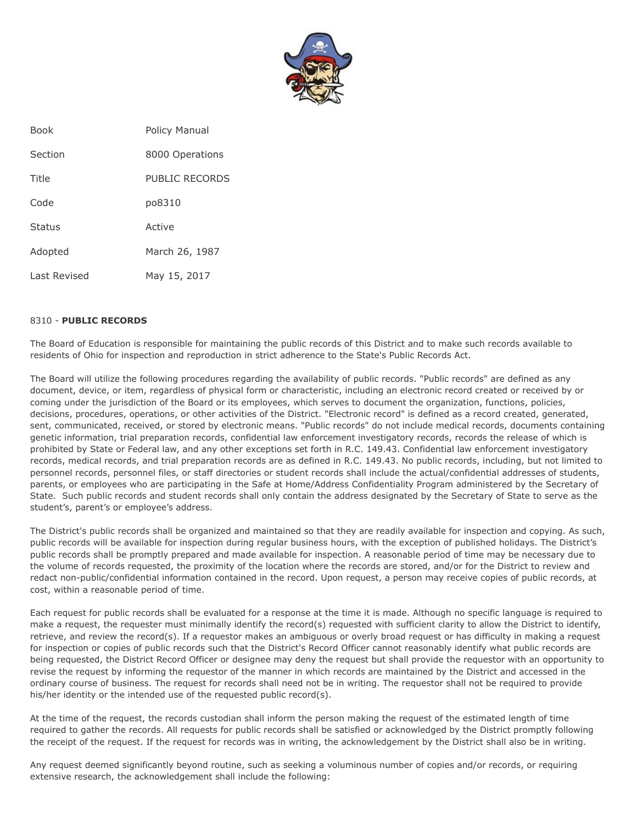

| <b>Book</b>   | <b>Policy Manual</b> |
|---------------|----------------------|
| Section       | 8000 Operations      |
| Title         | PUBLIC RECORDS       |
| Code          | po8310               |
| <b>Status</b> | Active               |
| Adopted       | March 26, 1987       |
| Last Revised  | May 15, 2017         |

## 8310 - **PUBLIC RECORDS**

The Board of Education is responsible for maintaining the public records of this District and to make such records available to residents of Ohio for inspection and reproduction in strict adherence to the State's Public Records Act.

The Board will utilize the following procedures regarding the availability of public records. "Public records" are defined as any document, device, or item, regardless of physical form or characteristic, including an electronic record created or received by or coming under the jurisdiction of the Board or its employees, which serves to document the organization, functions, policies, decisions, procedures, operations, or other activities of the District. "Electronic record" is defined as a record created, generated, sent, communicated, received, or stored by electronic means. "Public records" do not include medical records, documents containing genetic information, trial preparation records, confidential law enforcement investigatory records, records the release of which is prohibited by State or Federal law, and any other exceptions set forth in R.C. 149.43. Confidential law enforcement investigatory records, medical records, and trial preparation records are as defined in R.C. 149.43. No public records, including, but not limited to personnel records, personnel files, or staff directories or student records shall include the actual/confidential addresses of students, parents, or employees who are participating in the Safe at Home/Address Confidentiality Program administered by the Secretary of State. Such public records and student records shall only contain the address designated by the Secretary of State to serve as the student's, parent's or employee's address.

The District's public records shall be organized and maintained so that they are readily available for inspection and copying. As such, public records will be available for inspection during regular business hours, with the exception of published holidays. The District's public records shall be promptly prepared and made available for inspection. A reasonable period of time may be necessary due to the volume of records requested, the proximity of the location where the records are stored, and/or for the District to review and redact non-public/confidential information contained in the record. Upon request, a person may receive copies of public records, at cost, within a reasonable period of time.

Each request for public records shall be evaluated for a response at the time it is made. Although no specific language is required to make a request, the requester must minimally identify the record(s) requested with sufficient clarity to allow the District to identify, retrieve, and review the record(s). If a requestor makes an ambiguous or overly broad request or has difficulty in making a request for inspection or copies of public records such that the District's Record Officer cannot reasonably identify what public records are being requested, the District Record Officer or designee may deny the request but shall provide the requestor with an opportunity to revise the request by informing the requestor of the manner in which records are maintained by the District and accessed in the ordinary course of business. The request for records shall need not be in writing. The requestor shall not be required to provide his/her identity or the intended use of the requested public record(s).

At the time of the request, the records custodian shall inform the person making the request of the estimated length of time required to gather the records. All requests for public records shall be satisfied or acknowledged by the District promptly following the receipt of the request. If the request for records was in writing, the acknowledgement by the District shall also be in writing.

Any request deemed significantly beyond routine, such as seeking a voluminous number of copies and/or records, or requiring extensive research, the acknowledgement shall include the following: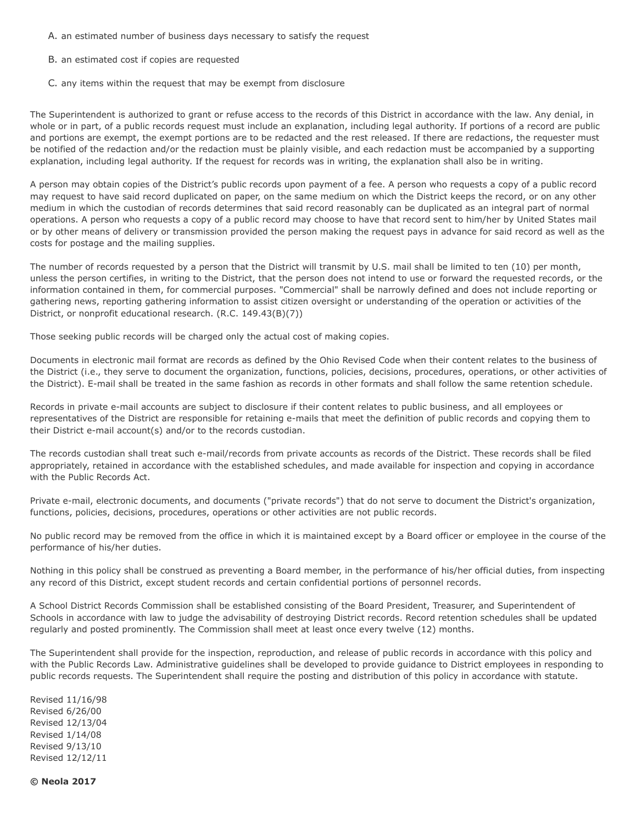- A. an estimated number of business days necessary to satisfy the request
- B. an estimated cost if copies are requested
- C. any items within the request that may be exempt from disclosure

The Superintendent is authorized to grant or refuse access to the records of this District in accordance with the law. Any denial, in whole or in part, of a public records request must include an explanation, including legal authority. If portions of a record are public and portions are exempt, the exempt portions are to be redacted and the rest released. If there are redactions, the requester must be notified of the redaction and/or the redaction must be plainly visible, and each redaction must be accompanied by a supporting explanation, including legal authority. If the request for records was in writing, the explanation shall also be in writing.

A person may obtain copies of the District's public records upon payment of a fee. A person who requests a copy of a public record may request to have said record duplicated on paper, on the same medium on which the District keeps the record, or on any other medium in which the custodian of records determines that said record reasonably can be duplicated as an integral part of normal operations. A person who requests a copy of a public record may choose to have that record sent to him/her by United States mail or by other means of delivery or transmission provided the person making the request pays in advance for said record as well as the costs for postage and the mailing supplies.

The number of records requested by a person that the District will transmit by U.S. mail shall be limited to ten (10) per month, unless the person certifies, in writing to the District, that the person does not intend to use or forward the requested records, or the information contained in them, for commercial purposes. "Commercial" shall be narrowly defined and does not include reporting or gathering news, reporting gathering information to assist citizen oversight or understanding of the operation or activities of the District, or nonprofit educational research. (R.C. 149.43(B)(7))

Those seeking public records will be charged only the actual cost of making copies.

Documents in electronic mail format are records as defined by the Ohio Revised Code when their content relates to the business of the District (i.e., they serve to document the organization, functions, policies, decisions, procedures, operations, or other activities of the District). E-mail shall be treated in the same fashion as records in other formats and shall follow the same retention schedule.

Records in private e-mail accounts are subject to disclosure if their content relates to public business, and all employees or representatives of the District are responsible for retaining e-mails that meet the definition of public records and copying them to their District e-mail account(s) and/or to the records custodian.

The records custodian shall treat such e-mail/records from private accounts as records of the District. These records shall be filed appropriately, retained in accordance with the established schedules, and made available for inspection and copying in accordance with the Public Records Act.

Private e-mail, electronic documents, and documents ("private records") that do not serve to document the District's organization, functions, policies, decisions, procedures, operations or other activities are not public records.

No public record may be removed from the office in which it is maintained except by a Board officer or employee in the course of the performance of his/her duties.

Nothing in this policy shall be construed as preventing a Board member, in the performance of his/her official duties, from inspecting any record of this District, except student records and certain confidential portions of personnel records.

A School District Records Commission shall be established consisting of the Board President, Treasurer, and Superintendent of Schools in accordance with law to judge the advisability of destroying District records. Record retention schedules shall be updated regularly and posted prominently. The Commission shall meet at least once every twelve (12) months.

The Superintendent shall provide for the inspection, reproduction, and release of public records in accordance with this policy and with the Public Records Law. Administrative guidelines shall be developed to provide guidance to District employees in responding to public records requests. The Superintendent shall require the posting and distribution of this policy in accordance with statute.

Revised 11/16/98 Revised 6/26/00 Revised 12/13/04 Revised 1/14/08 Revised 9/13/10 Revised 12/12/11

**© Neola 2017**